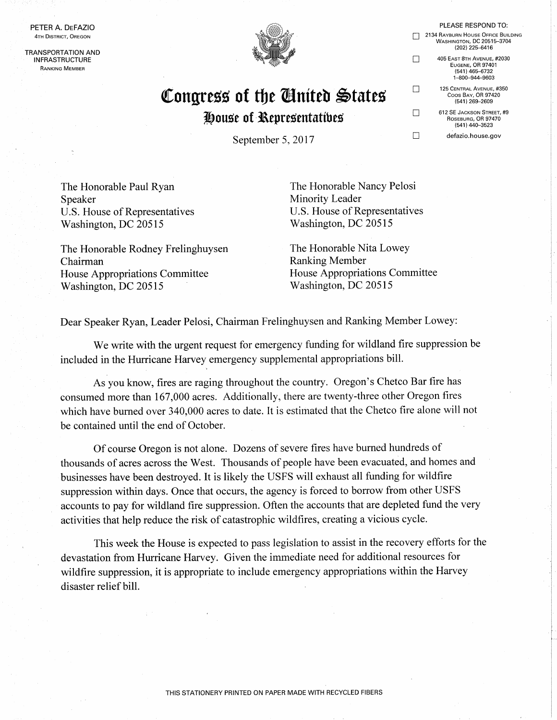PETER A. DEFAZIO 4TH DISTRICT, OREGON

**TRANSPORTATION AND INFRASTRUCTURE RANKING MEMBER** 



## Congress of the Ginited States House of Representatives

September 5, 2017

The Honorable Paul Ryan Speaker U.S. House of Representatives Washington, DC 20515

The Honorable Rodney Frelinghuysen Chairman **House Appropriations Committee** Washington, DC 20515

The Honorable Nancy Pelosi Minority Leader U.S. House of Representatives Washington, DC 20515

The Honorable Nita Lowey **Ranking Member** House Appropriations Committee Washington, DC 20515

Dear Speaker Ryan, Leader Pelosi, Chairman Frelinghuysen and Ranking Member Lowey:

We write with the urgent request for emergency funding for wildland fire suppression be included in the Hurricane Harvey emergency supplemental appropriations bill.

As you know, fires are raging throughout the country. Oregon's Chetco Bar fire has consumed more than 167,000 acres. Additionally, there are twenty-three other Oregon fires which have burned over 340,000 acres to date. It is estimated that the Chetco fire alone will not be contained until the end of October.

Of course Oregon is not alone. Dozens of severe fires have burned hundreds of thousands of acres across the West. Thousands of people have been evacuated, and homes and businesses have been destroyed. It is likely the USFS will exhaust all funding for wildfire suppression within days. Once that occurs, the agency is forced to borrow from other USFS accounts to pay for wildland fire suppression. Often the accounts that are depleted fund the very activities that help reduce the risk of catastrophic wildfires, creating a vicious cycle.

This week the House is expected to pass legislation to assist in the recovery efforts for the devastation from Hurricane Harvey. Given the immediate need for additional resources for wildfire suppression, it is appropriate to include emergency appropriations within the Harvey disaster relief bill.

| Z 134 NAYBURIN HUUSE UFFILE BUILDING |
|--------------------------------------|
| <b>WASHINGTON, DC 20515-3704</b>     |
| (202) 225-6416                       |
| 405 EAST 8TH AVENUE, #2030           |
| <b>EUGENE, OR 97401</b>              |
| (541) 465-6732                       |
| 1-800-944-9603                       |
| 125 CENTRAL AVENUE, #350             |
| Coos Bay, OR 97420                   |
|                                      |
| (541) 269-2609                       |

 $\Box$ 

 $\Box$ 

 $\Box$ 

 $\Box$ 

PLEASE RESPOND TO:

 $\cdots$ 

612 SE JACKSON STREET, #9 ROSEBURG OR 97470  $(541)$  440-3523

defazio.house.gov